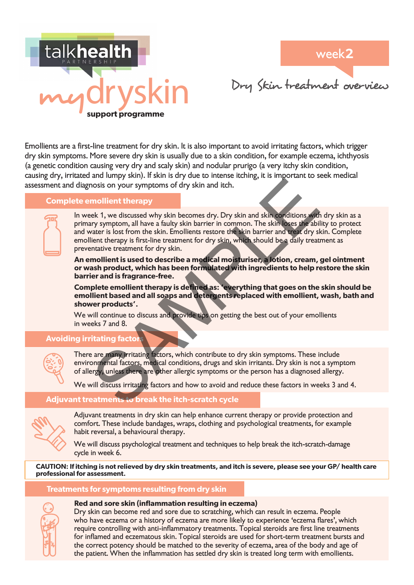

Dry Skin treatment overview

Emollients are a first-line treatment for dry skin. It is also important to avoid irritating factors, which trigger dry skin symptoms. More severe dry skin is usually due to a skin condition, for example eczema, ichthyosis (a genetic condition causing very dry and scaly skin) and nodular prurigo (a very itchy skin condition, causing dry, irritated and lumpy skin). If skin is dry due to intense itching, it is important to seek medical assessment and diagnosis on your symptoms of dry skin and itch.

### **Complete emollient therapy**

In week 1, we discussed why skin becomes dry. Dry skin and skin conditions with dry skin as a primary symptom, all have a faulty skin barrier in common. The skin loses the ability to protect and water is lost from the skin. Emollients restore the skin barrier and treat dry skin. Complete emollient therapy is first-line treatment for dry skin, which should be a daily treatment as preventative treatment for dry skin. are many principle and celebration of the person has a diagnosed and skin societies of your symptoms of dry skin and itch.<br>
The discussed why skin becomes dry. Dry skin and skin conditions with the state of your symptom, a

**An emollient is used to describe a medical moisturiser, a lotion, cream, gel ointment or wash product, which has been formulated with ingredients to help restore the skin barrier and is fragrance-free.** 

**Complete emollient therapy is defined as: 'everything that goes on the skin should be emollient based and all soaps and detergents replaced with emollient, wash, bath and shower products'.**

We will continue to discuss and provide tips on getting the best out of your emollients in weeks 7 and 8.

# **Avoiding irritating facto**



There are many irritating factors, which contribute to dry skin symptoms. These include environmental factors, medical conditions, drugs and skin irritants. Dry skin is not a symptom of allergy, unless there are other allergic symptoms or the person has a diagnosed allergy.

We will discuss irritating factors and how to avoid and reduce these factors in weeks 3 and 4.

# **Adjuvant treatments to break the itch-scratch cycle**



Adjuvant treatments in dry skin can help enhance current therapy or provide protection and comfort. These include bandages, wraps, clothing and psychological treatments, for example habit reversal, a behavioural therapy.

We will discuss psychological treatment and techniques to help break the itch-scratch-damage cycle in week 6.

**CAUTION: If itching is not relieved by dry skin treatments, and itch is severe, please see your GP/ health care professional for assessment.** 

#### **Treatments for symptoms resulting from dry skin**



# **Red and sore skin (inflammation resulting in eczema)**

Dry skin can become red and sore due to scratching, which can result in eczema. People who have eczema or a history of eczema are more likely to experience 'eczema flares', which require controlling with anti-inflammatory treatments. Topical steroids are first line treatments for inflamed and eczematous skin. Topical steroids are used for short-term treatment bursts and the correct potency should be matched to the severity of eczema, area of the body and age of the patient. When the inflammation has settled dry skin is treated long term with emollients.